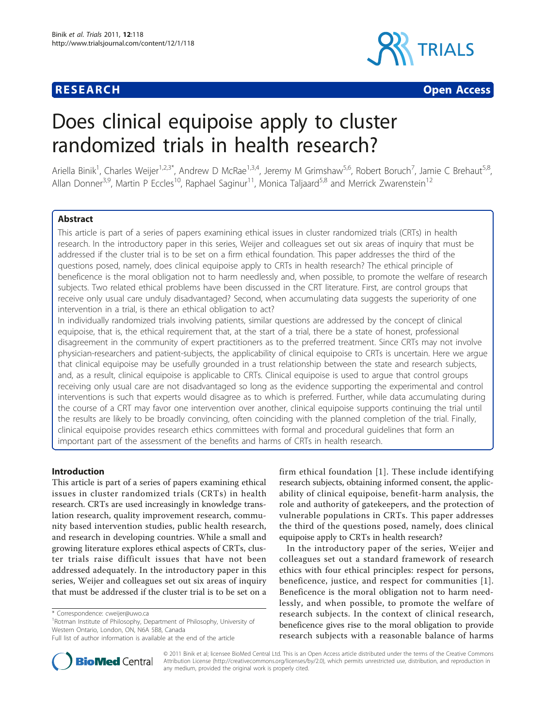

# **RESEARCH CONTROL** CONTROL CONTROL CONTROL CONTROL CONTROL CONTROL CONTROL CONTROL CONTROL CONTROL CONTROL CONTROL CONTROL CONTROL CONTROL CONTROL CONTROL CONTROL CONTROL CONTROL CONTROL CONTROL CONTROL CONTROL CONTROL CON

# Does clinical equipoise apply to cluster randomized trials in health research?

Ariella Binik<sup>1</sup>, Charles Weijer<sup>1,2,3\*</sup>, Andrew D McRae<sup>1,3,4</sup>, Jeremy M Grimshaw<sup>5,6</sup>, Robert Boruch<sup>7</sup>, Jamie C Brehaut<sup>5,8</sup>, Allan Donner<sup>3,9</sup>, Martin P Eccles<sup>10</sup>, Raphael Saginur<sup>11</sup>, Monica Taljaard<sup>5,8</sup> and Merrick Zwarenstein<sup>12</sup>

# Abstract

This article is part of a series of papers examining ethical issues in cluster randomized trials (CRTs) in health research. In the introductory paper in this series, Weijer and colleagues set out six areas of inquiry that must be addressed if the cluster trial is to be set on a firm ethical foundation. This paper addresses the third of the questions posed, namely, does clinical equipoise apply to CRTs in health research? The ethical principle of beneficence is the moral obligation not to harm needlessly and, when possible, to promote the welfare of research subjects. Two related ethical problems have been discussed in the CRT literature. First, are control groups that receive only usual care unduly disadvantaged? Second, when accumulating data suggests the superiority of one intervention in a trial, is there an ethical obligation to act?

In individually randomized trials involving patients, similar questions are addressed by the concept of clinical equipoise, that is, the ethical requirement that, at the start of a trial, there be a state of honest, professional disagreement in the community of expert practitioners as to the preferred treatment. Since CRTs may not involve physician-researchers and patient-subjects, the applicability of clinical equipoise to CRTs is uncertain. Here we argue that clinical equipoise may be usefully grounded in a trust relationship between the state and research subjects, and, as a result, clinical equipoise is applicable to CRTs. Clinical equipoise is used to argue that control groups receiving only usual care are not disadvantaged so long as the evidence supporting the experimental and control interventions is such that experts would disagree as to which is preferred. Further, while data accumulating during the course of a CRT may favor one intervention over another, clinical equipoise supports continuing the trial until the results are likely to be broadly convincing, often coinciding with the planned completion of the trial. Finally, clinical equipoise provides research ethics committees with formal and procedural guidelines that form an important part of the assessment of the benefits and harms of CRTs in health research.

# Introduction

This article is part of a series of papers examining ethical issues in cluster randomized trials (CRTs) in health research. CRTs are used increasingly in knowledge translation research, quality improvement research, community based intervention studies, public health research, and research in developing countries. While a small and growing literature explores ethical aspects of CRTs, cluster trials raise difficult issues that have not been addressed adequately. In the introductory paper in this series, Weijer and colleagues set out six areas of inquiry that must be addressed if the cluster trial is to be set on a



In the introductory paper of the series, Weijer and colleagues set out a standard framework of research ethics with four ethical principles: respect for persons, beneficence, justice, and respect for communities [[1\]](#page-9-0). Beneficence is the moral obligation not to harm needlessly, and when possible, to promote the welfare of research subjects. In the context of clinical research, beneficence gives rise to the moral obligation to provide research subjects with a reasonable balance of harms



© 2011 Binik et al; licensee BioMed Central Ltd. This is an Open Access article distributed under the terms of the Creative Commons Attribution License [\(http://creativecommons.org/licenses/by/2.0](http://creativecommons.org/licenses/by/2.0)), which permits unrestricted use, distribution, and reproduction in any medium, provided the original work is properly cited.

<sup>\*</sup> Correspondence: [cweijer@uwo.ca](mailto:cweijer@uwo.ca)

<sup>&</sup>lt;sup>1</sup> Rotman Institute of Philosophy, Department of Philosophy, University of Western Ontario, London, ON, N6A 5B8, Canada

Full list of author information is available at the end of the article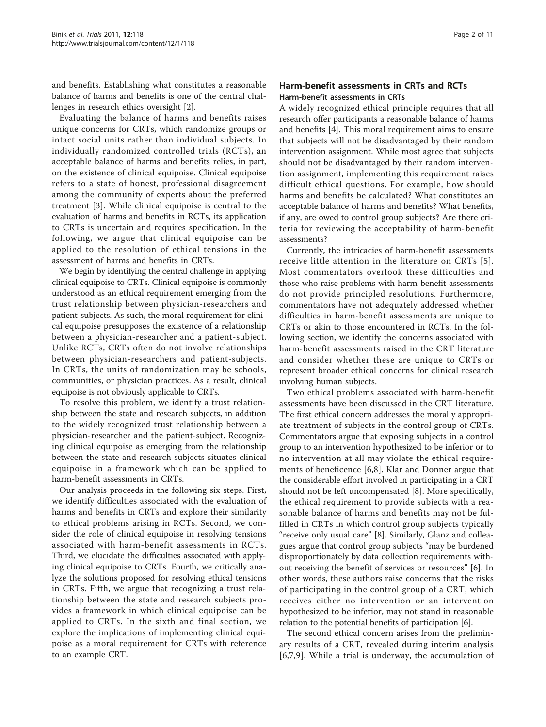and benefits. Establishing what constitutes a reasonable balance of harms and benefits is one of the central challenges in research ethics oversight [[2](#page-9-0)].

Evaluating the balance of harms and benefits raises unique concerns for CRTs, which randomize groups or intact social units rather than individual subjects. In individually randomized controlled trials (RCTs), an acceptable balance of harms and benefits relies, in part, on the existence of clinical equipoise. Clinical equipoise refers to a state of honest, professional disagreement among the community of experts about the preferred treatment [\[3](#page-9-0)]. While clinical equipoise is central to the evaluation of harms and benefits in RCTs, its application to CRTs is uncertain and requires specification. In the following, we argue that clinical equipoise can be applied to the resolution of ethical tensions in the assessment of harms and benefits in CRTs.

We begin by identifying the central challenge in applying clinical equipoise to CRTs. Clinical equipoise is commonly understood as an ethical requirement emerging from the trust relationship between physician-researchers and patient-subjects. As such, the moral requirement for clinical equipoise presupposes the existence of a relationship between a physician-researcher and a patient-subject. Unlike RCTs, CRTs often do not involve relationships between physician-researchers and patient-subjects. In CRTs, the units of randomization may be schools, communities, or physician practices. As a result, clinical equipoise is not obviously applicable to CRTs.

To resolve this problem, we identify a trust relationship between the state and research subjects, in addition to the widely recognized trust relationship between a physician-researcher and the patient-subject. Recognizing clinical equipoise as emerging from the relationship between the state and research subjects situates clinical equipoise in a framework which can be applied to harm-benefit assessments in CRTs.

Our analysis proceeds in the following six steps. First, we identify difficulties associated with the evaluation of harms and benefits in CRTs and explore their similarity to ethical problems arising in RCTs. Second, we consider the role of clinical equipoise in resolving tensions associated with harm-benefit assessments in RCTs. Third, we elucidate the difficulties associated with applying clinical equipoise to CRTs. Fourth, we critically analyze the solutions proposed for resolving ethical tensions in CRTs. Fifth, we argue that recognizing a trust relationship between the state and research subjects provides a framework in which clinical equipoise can be applied to CRTs. In the sixth and final section, we explore the implications of implementing clinical equipoise as a moral requirement for CRTs with reference to an example CRT.

# Harm-benefit assessments in CRTs and RCTs Harm-benefit assessments in CRTs

A widely recognized ethical principle requires that all research offer participants a reasonable balance of harms and benefits [\[4](#page-9-0)]. This moral requirement aims to ensure that subjects will not be disadvantaged by their random intervention assignment. While most agree that subjects should not be disadvantaged by their random intervention assignment, implementing this requirement raises difficult ethical questions. For example, how should harms and benefits be calculated? What constitutes an acceptable balance of harms and benefits? What benefits, if any, are owed to control group subjects? Are there criteria for reviewing the acceptability of harm-benefit assessments?

Currently, the intricacies of harm-benefit assessments receive little attention in the literature on CRTs [[5\]](#page-9-0). Most commentators overlook these difficulties and those who raise problems with harm-benefit assessments do not provide principled resolutions. Furthermore, commentators have not adequately addressed whether difficulties in harm-benefit assessments are unique to CRTs or akin to those encountered in RCTs. In the following section, we identify the concerns associated with harm-benefit assessments raised in the CRT literature and consider whether these are unique to CRTs or represent broader ethical concerns for clinical research involving human subjects.

Two ethical problems associated with harm-benefit assessments have been discussed in the CRT literature. The first ethical concern addresses the morally appropriate treatment of subjects in the control group of CRTs. Commentators argue that exposing subjects in a control group to an intervention hypothesized to be inferior or to no intervention at all may violate the ethical requirements of beneficence [\[6,8\]](#page-10-0). Klar and Donner argue that the considerable effort involved in participating in a CRT should not be left uncompensated [[8\]](#page-10-0). More specifically, the ethical requirement to provide subjects with a reasonable balance of harms and benefits may not be fulfilled in CRTs in which control group subjects typically "receive only usual care" [[8\]](#page-10-0). Similarly, Glanz and colleagues argue that control group subjects "may be burdened disproportionately by data collection requirements without receiving the benefit of services or resources" [\[6](#page-10-0)]. In other words, these authors raise concerns that the risks of participating in the control group of a CRT, which receives either no intervention or an intervention hypothesized to be inferior, may not stand in reasonable relation to the potential benefits of participation [\[6\]](#page-10-0).

The second ethical concern arises from the preliminary results of a CRT, revealed during interim analysis [[6](#page-10-0),[7,9](#page-10-0)]. While a trial is underway, the accumulation of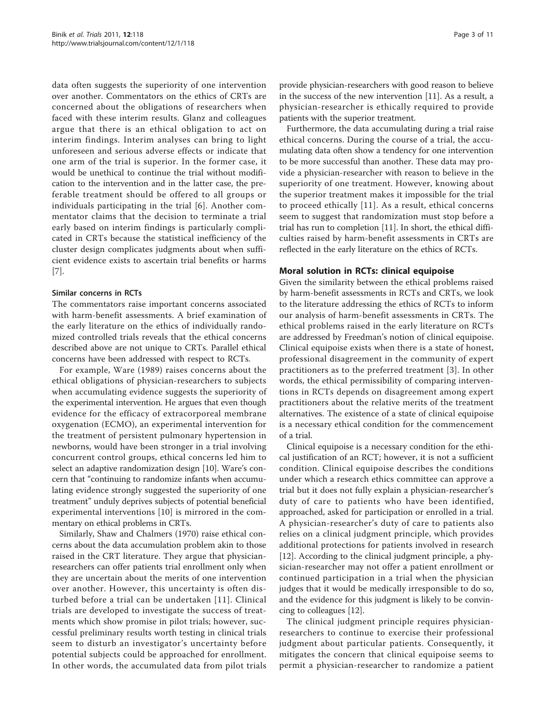data often suggests the superiority of one intervention over another. Commentators on the ethics of CRTs are concerned about the obligations of researchers when faced with these interim results. Glanz and colleagues argue that there is an ethical obligation to act on interim findings. Interim analyses can bring to light unforeseen and serious adverse effects or indicate that one arm of the trial is superior. In the former case, it would be unethical to continue the trial without modification to the intervention and in the latter case, the preferable treatment should be offered to all groups or individuals participating in the trial [[6\]](#page-10-0). Another commentator claims that the decision to terminate a trial early based on interim findings is particularly complicated in CRTs because the statistical inefficiency of the cluster design complicates judgments about when sufficient evidence exists to ascertain trial benefits or harms [[7\]](#page-10-0).

# Similar concerns in RCTs

The commentators raise important concerns associated with harm-benefit assessments. A brief examination of the early literature on the ethics of individually randomized controlled trials reveals that the ethical concerns described above are not unique to CRTs. Parallel ethical concerns have been addressed with respect to RCTs.

For example, Ware (1989) raises concerns about the ethical obligations of physician-researchers to subjects when accumulating evidence suggests the superiority of the experimental intervention. He argues that even though evidence for the efficacy of extracorporeal membrane oxygenation (ECMO), an experimental intervention for the treatment of persistent pulmonary hypertension in newborns, would have been stronger in a trial involving concurrent control groups, ethical concerns led him to select an adaptive randomization design [[10\]](#page-10-0). Ware's concern that "continuing to randomize infants when accumulating evidence strongly suggested the superiority of one treatment" unduly deprives subjects of potential beneficial experimental interventions [\[10](#page-10-0)] is mirrored in the commentary on ethical problems in CRTs.

Similarly, Shaw and Chalmers (1970) raise ethical concerns about the data accumulation problem akin to those raised in the CRT literature. They argue that physicianresearchers can offer patients trial enrollment only when they are uncertain about the merits of one intervention over another. However, this uncertainty is often disturbed before a trial can be undertaken [[11\]](#page-10-0). Clinical trials are developed to investigate the success of treatments which show promise in pilot trials; however, successful preliminary results worth testing in clinical trials seem to disturb an investigator's uncertainty before potential subjects could be approached for enrollment. In other words, the accumulated data from pilot trials

provide physician-researchers with good reason to believe in the success of the new intervention [[11\]](#page-10-0). As a result, a physician-researcher is ethically required to provide patients with the superior treatment.

Furthermore, the data accumulating during a trial raise ethical concerns. During the course of a trial, the accumulating data often show a tendency for one intervention to be more successful than another. These data may provide a physician-researcher with reason to believe in the superiority of one treatment. However, knowing about the superior treatment makes it impossible for the trial to proceed ethically [[11](#page-10-0)]. As a result, ethical concerns seem to suggest that randomization must stop before a trial has run to completion [\[11](#page-10-0)]. In short, the ethical difficulties raised by harm-benefit assessments in CRTs are reflected in the early literature on the ethics of RCTs.

# Moral solution in RCTs: clinical equipoise

Given the similarity between the ethical problems raised by harm-benefit assessments in RCTs and CRTs, we look to the literature addressing the ethics of RCTs to inform our analysis of harm-benefit assessments in CRTs. The ethical problems raised in the early literature on RCTs are addressed by Freedman's notion of clinical equipoise. Clinical equipoise exists when there is a state of honest, professional disagreement in the community of expert practitioners as to the preferred treatment [[3\]](#page-9-0). In other words, the ethical permissibility of comparing interventions in RCTs depends on disagreement among expert practitioners about the relative merits of the treatment alternatives. The existence of a state of clinical equipoise is a necessary ethical condition for the commencement of a trial.

Clinical equipoise is a necessary condition for the ethical justification of an RCT; however, it is not a sufficient condition. Clinical equipoise describes the conditions under which a research ethics committee can approve a trial but it does not fully explain a physician-researcher's duty of care to patients who have been identified, approached, asked for participation or enrolled in a trial. A physician-researcher's duty of care to patients also relies on a clinical judgment principle, which provides additional protections for patients involved in research [[12\]](#page-10-0). According to the clinical judgment principle, a physician-researcher may not offer a patient enrollment or continued participation in a trial when the physician judges that it would be medically irresponsible to do so, and the evidence for this judgment is likely to be convincing to colleagues [[12](#page-10-0)].

The clinical judgment principle requires physicianresearchers to continue to exercise their professional judgment about particular patients. Consequently, it mitigates the concern that clinical equipoise seems to permit a physician-researcher to randomize a patient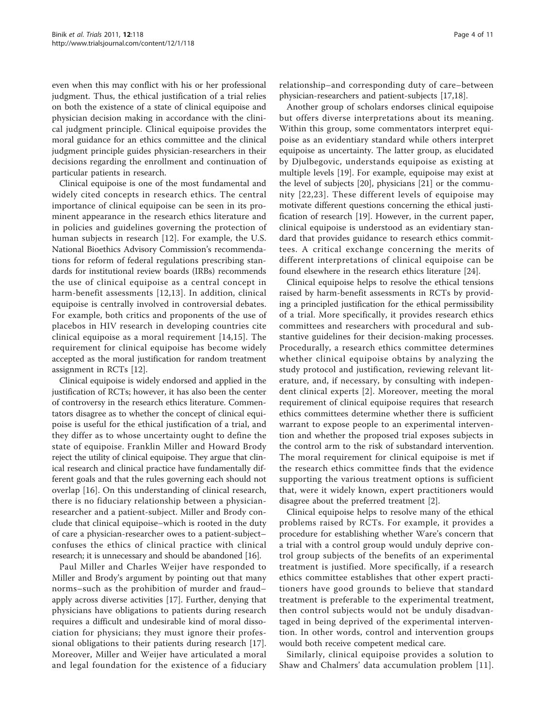even when this may conflict with his or her professional judgment. Thus, the ethical justification of a trial relies on both the existence of a state of clinical equipoise and physician decision making in accordance with the clinical judgment principle. Clinical equipoise provides the moral guidance for an ethics committee and the clinical judgment principle guides physician-researchers in their decisions regarding the enrollment and continuation of particular patients in research.

Clinical equipoise is one of the most fundamental and widely cited concepts in research ethics. The central importance of clinical equipoise can be seen in its prominent appearance in the research ethics literature and in policies and guidelines governing the protection of human subjects in research [[12\]](#page-10-0). For example, the U.S. National Bioethics Advisory Commission's recommendations for reform of federal regulations prescribing standards for institutional review boards (IRBs) recommends the use of clinical equipoise as a central concept in harm-benefit assessments [[12](#page-10-0),[13\]](#page-10-0). In addition, clinical equipoise is centrally involved in controversial debates. For example, both critics and proponents of the use of placebos in HIV research in developing countries cite clinical equipoise as a moral requirement [[14](#page-10-0),[15\]](#page-10-0). The requirement for clinical equipoise has become widely accepted as the moral justification for random treatment assignment in RCTs [[12\]](#page-10-0).

Clinical equipoise is widely endorsed and applied in the justification of RCTs; however, it has also been the center of controversy in the research ethics literature. Commentators disagree as to whether the concept of clinical equipoise is useful for the ethical justification of a trial, and they differ as to whose uncertainty ought to define the state of equipoise. Franklin Miller and Howard Brody reject the utility of clinical equipoise. They argue that clinical research and clinical practice have fundamentally different goals and that the rules governing each should not overlap [[16\]](#page-10-0). On this understanding of clinical research, there is no fiduciary relationship between a physicianresearcher and a patient-subject. Miller and Brody conclude that clinical equipoise–which is rooted in the duty of care a physician-researcher owes to a patient-subject– confuses the ethics of clinical practice with clinical research; it is unnecessary and should be abandoned [\[16](#page-10-0)].

Paul Miller and Charles Weijer have responded to Miller and Brody's argument by pointing out that many norms–such as the prohibition of murder and fraud– apply across diverse activities [\[17](#page-10-0)]. Further, denying that physicians have obligations to patients during research requires a difficult and undesirable kind of moral dissociation for physicians; they must ignore their professional obligations to their patients during research [\[17](#page-10-0)]. Moreover, Miller and Weijer have articulated a moral and legal foundation for the existence of a fiduciary relationship–and corresponding duty of care–between physician-researchers and patient-subjects [[17,18](#page-10-0)].

Another group of scholars endorses clinical equipoise but offers diverse interpretations about its meaning. Within this group, some commentators interpret equipoise as an evidentiary standard while others interpret equipoise as uncertainty. The latter group, as elucidated by Djulbegovic, understands equipoise as existing at multiple levels [[19\]](#page-10-0). For example, equipoise may exist at the level of subjects [[20\]](#page-10-0), physicians [\[21](#page-10-0)] or the community [[22,23\]](#page-10-0). These different levels of equipoise may motivate different questions concerning the ethical justification of research [\[19\]](#page-10-0). However, in the current paper, clinical equipoise is understood as an evidentiary standard that provides guidance to research ethics committees. A critical exchange concerning the merits of different interpretations of clinical equipoise can be found elsewhere in the research ethics literature [\[24\]](#page-10-0).

Clinical equipoise helps to resolve the ethical tensions raised by harm-benefit assessments in RCTs by providing a principled justification for the ethical permissibility of a trial. More specifically, it provides research ethics committees and researchers with procedural and substantive guidelines for their decision-making processes. Procedurally, a research ethics committee determines whether clinical equipoise obtains by analyzing the study protocol and justification, reviewing relevant literature, and, if necessary, by consulting with independent clinical experts [\[2](#page-9-0)]. Moreover, meeting the moral requirement of clinical equipoise requires that research ethics committees determine whether there is sufficient warrant to expose people to an experimental intervention and whether the proposed trial exposes subjects in the control arm to the risk of substandard intervention. The moral requirement for clinical equipoise is met if the research ethics committee finds that the evidence supporting the various treatment options is sufficient that, were it widely known, expert practitioners would disagree about the preferred treatment [[2\]](#page-9-0).

Clinical equipoise helps to resolve many of the ethical problems raised by RCTs. For example, it provides a procedure for establishing whether Ware's concern that a trial with a control group would unduly deprive control group subjects of the benefits of an experimental treatment is justified. More specifically, if a research ethics committee establishes that other expert practitioners have good grounds to believe that standard treatment is preferable to the experimental treatment, then control subjects would not be unduly disadvantaged in being deprived of the experimental intervention. In other words, control and intervention groups would both receive competent medical care.

Similarly, clinical equipoise provides a solution to Shaw and Chalmers' data accumulation problem [[11](#page-10-0)].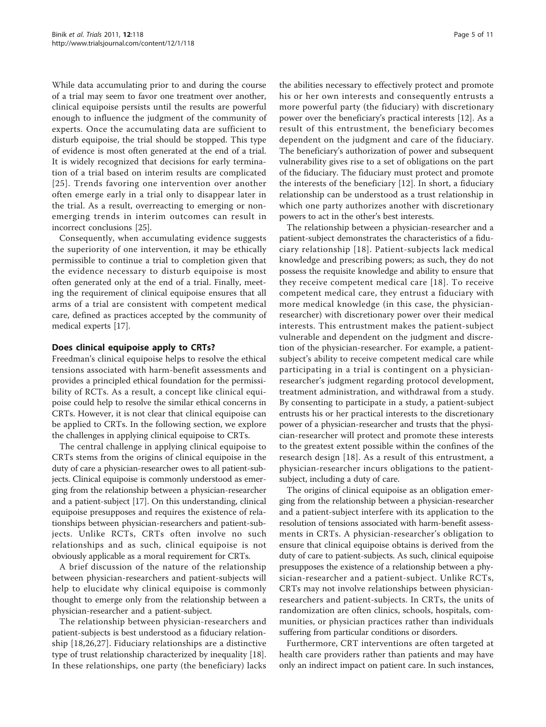While data accumulating prior to and during the course of a trial may seem to favor one treatment over another, clinical equipoise persists until the results are powerful enough to influence the judgment of the community of experts. Once the accumulating data are sufficient to disturb equipoise, the trial should be stopped. This type of evidence is most often generated at the end of a trial. It is widely recognized that decisions for early termination of a trial based on interim results are complicated [[25\]](#page-10-0). Trends favoring one intervention over another often emerge early in a trial only to disappear later in the trial. As a result, overreacting to emerging or nonemerging trends in interim outcomes can result in incorrect conclusions [[25](#page-10-0)].

Consequently, when accumulating evidence suggests the superiority of one intervention, it may be ethically permissible to continue a trial to completion given that the evidence necessary to disturb equipoise is most often generated only at the end of a trial. Finally, meeting the requirement of clinical equipoise ensures that all arms of a trial are consistent with competent medical care, defined as practices accepted by the community of medical experts [\[17\]](#page-10-0).

# Does clinical equipoise apply to CRTs?

Freedman's clinical equipoise helps to resolve the ethical tensions associated with harm-benefit assessments and provides a principled ethical foundation for the permissibility of RCTs. As a result, a concept like clinical equipoise could help to resolve the similar ethical concerns in CRTs. However, it is not clear that clinical equipoise can be applied to CRTs. In the following section, we explore the challenges in applying clinical equipoise to CRTs.

The central challenge in applying clinical equipoise to CRTs stems from the origins of clinical equipoise in the duty of care a physician-researcher owes to all patient-subjects. Clinical equipoise is commonly understood as emerging from the relationship between a physician-researcher and a patient-subject [[17](#page-10-0)]. On this understanding, clinical equipoise presupposes and requires the existence of relationships between physician-researchers and patient-subjects. Unlike RCTs, CRTs often involve no such relationships and as such, clinical equipoise is not obviously applicable as a moral requirement for CRTs.

A brief discussion of the nature of the relationship between physician-researchers and patient-subjects will help to elucidate why clinical equipoise is commonly thought to emerge only from the relationship between a physician-researcher and a patient-subject.

The relationship between physician-researchers and patient-subjects is best understood as a fiduciary relationship [[18,26](#page-10-0),[27\]](#page-10-0). Fiduciary relationships are a distinctive type of trust relationship characterized by inequality [\[18](#page-10-0)]. In these relationships, one party (the beneficiary) lacks

the abilities necessary to effectively protect and promote his or her own interests and consequently entrusts a more powerful party (the fiduciary) with discretionary power over the beneficiary's practical interests [\[12](#page-10-0)]. As a result of this entrustment, the beneficiary becomes dependent on the judgment and care of the fiduciary. The beneficiary's authorization of power and subsequent vulnerability gives rise to a set of obligations on the part of the fiduciary. The fiduciary must protect and promote the interests of the beneficiary [[12\]](#page-10-0). In short, a fiduciary relationship can be understood as a trust relationship in which one party authorizes another with discretionary powers to act in the other's best interests.

The relationship between a physician-researcher and a patient-subject demonstrates the characteristics of a fiduciary relationship [[18\]](#page-10-0). Patient-subjects lack medical knowledge and prescribing powers; as such, they do not possess the requisite knowledge and ability to ensure that they receive competent medical care [[18](#page-10-0)]. To receive competent medical care, they entrust a fiduciary with more medical knowledge (in this case, the physicianresearcher) with discretionary power over their medical interests. This entrustment makes the patient-subject vulnerable and dependent on the judgment and discretion of the physician-researcher. For example, a patientsubject's ability to receive competent medical care while participating in a trial is contingent on a physicianresearcher's judgment regarding protocol development, treatment administration, and withdrawal from a study. By consenting to participate in a study, a patient-subject entrusts his or her practical interests to the discretionary power of a physician-researcher and trusts that the physician-researcher will protect and promote these interests to the greatest extent possible within the confines of the research design [[18\]](#page-10-0). As a result of this entrustment, a physician-researcher incurs obligations to the patientsubject, including a duty of care.

The origins of clinical equipoise as an obligation emerging from the relationship between a physician-researcher and a patient-subject interfere with its application to the resolution of tensions associated with harm-benefit assessments in CRTs. A physician-researcher's obligation to ensure that clinical equipoise obtains is derived from the duty of care to patient-subjects. As such, clinical equipoise presupposes the existence of a relationship between a physician-researcher and a patient-subject. Unlike RCTs, CRTs may not involve relationships between physicianresearchers and patient-subjects. In CRTs, the units of randomization are often clinics, schools, hospitals, communities, or physician practices rather than individuals suffering from particular conditions or disorders.

Furthermore, CRT interventions are often targeted at health care providers rather than patients and may have only an indirect impact on patient care. In such instances,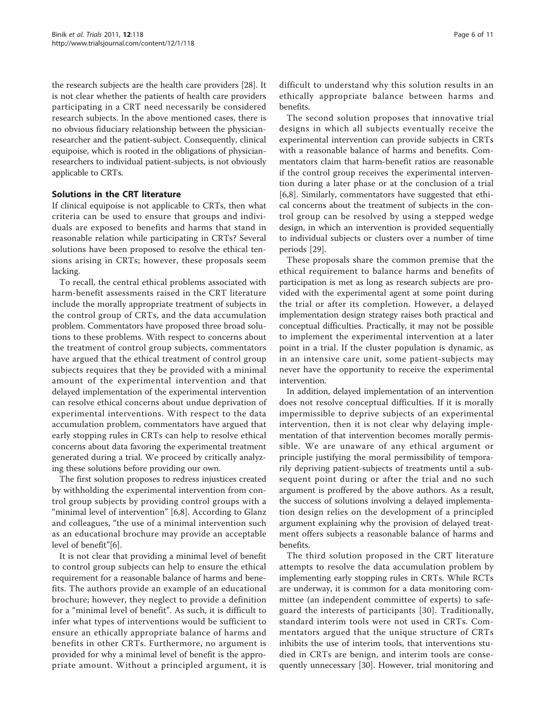the research subjects are the health care providers [\[28](#page-10-0)]. It is not clear whether the patients of health care providers participating in a CRT need necessarily be considered research subjects. In the above mentioned cases, there is no obvious fiduciary relationship between the physicianresearcher and the patient-subject. Consequently, clinical equipoise, which is rooted in the obligations of physicianresearchers to individual patient-subjects, is not obviously applicable to CRTs.

# Solutions in the CRT literature

If clinical equipoise is not applicable to CRTs, then what criteria can be used to ensure that groups and individuals are exposed to benefits and harms that stand in reasonable relation while participating in CRTs? Several solutions have been proposed to resolve the ethical tensions arising in CRTs; however, these proposals seem lacking.

To recall, the central ethical problems associated with harm-benefit assessments raised in the CRT literature include the morally appropriate treatment of subjects in the control group of CRTs, and the data accumulation problem. Commentators have proposed three broad solutions to these problems. With respect to concerns about the treatment of control group subjects, commentators have argued that the ethical treatment of control group subjects requires that they be provided with a minimal amount of the experimental intervention and that delayed implementation of the experimental intervention can resolve ethical concerns about undue deprivation of experimental interventions. With respect to the data accumulation problem, commentators have argued that early stopping rules in CRTs can help to resolve ethical concerns about data favoring the experimental treatment generated during a trial. We proceed by critically analyzing these solutions before providing our own.

The first solution proposes to redress injustices created by withholding the experimental intervention from control group subjects by providing control groups with a "minimal level of intervention" [\[6](#page-10-0),[8\]](#page-10-0). According to Glanz and colleagues, "the use of a minimal intervention such as an educational brochure may provide an acceptable level of benefit"[[6\]](#page-10-0).

It is not clear that providing a minimal level of benefit to control group subjects can help to ensure the ethical requirement for a reasonable balance of harms and benefits. The authors provide an example of an educational brochure; however, they neglect to provide a definition for a "minimal level of benefit". As such, it is difficult to infer what types of interventions would be sufficient to ensure an ethically appropriate balance of harms and benefits in other CRTs. Furthermore, no argument is provided for why a minimal level of benefit is the appropriate amount. Without a principled argument, it is difficult to understand why this solution results in an ethically appropriate balance between harms and benefits.

The second solution proposes that innovative trial designs in which all subjects eventually receive the experimental intervention can provide subjects in CRTs with a reasonable balance of harms and benefits. Commentators claim that harm-benefit ratios are reasonable if the control group receives the experimental intervention during a later phase or at the conclusion of a trial [[6,8](#page-10-0)]. Similarly, commentators have suggested that ethical concerns about the treatment of subjects in the control group can be resolved by using a stepped wedge design, in which an intervention is provided sequentially to individual subjects or clusters over a number of time periods [[29\]](#page-10-0).

These proposals share the common premise that the ethical requirement to balance harms and benefits of participation is met as long as research subjects are provided with the experimental agent at some point during the trial or after its completion. However, a delayed implementation design strategy raises both practical and conceptual difficulties. Practically, it may not be possible to implement the experimental intervention at a later point in a trial. If the cluster population is dynamic, as in an intensive care unit, some patient-subjects may never have the opportunity to receive the experimental intervention.

In addition, delayed implementation of an intervention does not resolve conceptual difficulties. If it is morally impermissible to deprive subjects of an experimental intervention, then it is not clear why delaying implementation of that intervention becomes morally permissible. We are unaware of any ethical argument or principle justifying the moral permissibility of temporarily depriving patient-subjects of treatments until a subsequent point during or after the trial and no such argument is proffered by the above authors. As a result, the success of solutions involving a delayed implementation design relies on the development of a principled argument explaining why the provision of delayed treatment offers subjects a reasonable balance of harms and benefits.

The third solution proposed in the CRT literature attempts to resolve the data accumulation problem by implementing early stopping rules in CRTs. While RCTs are underway, it is common for a data monitoring committee (an independent committee of experts) to safeguard the interests of participants [[30](#page-10-0)]. Traditionally, standard interim tools were not used in CRTs. Commentators argued that the unique structure of CRTs inhibits the use of interim tools, that interventions studied in CRTs are benign, and interim tools are consequently unnecessary [\[30](#page-10-0)]. However, trial monitoring and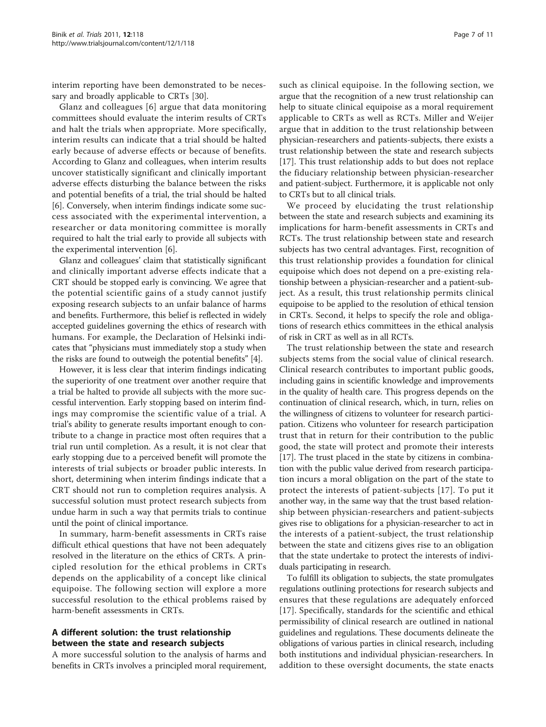interim reporting have been demonstrated to be necessary and broadly applicable to CRTs [\[30](#page-10-0)].

Glanz and colleagues [\[6\]](#page-10-0) argue that data monitoring committees should evaluate the interim results of CRTs and halt the trials when appropriate. More specifically, interim results can indicate that a trial should be halted early because of adverse effects or because of benefits. According to Glanz and colleagues, when interim results uncover statistically significant and clinically important adverse effects disturbing the balance between the risks and potential benefits of a trial, the trial should be halted [[6\]](#page-10-0). Conversely, when interim findings indicate some success associated with the experimental intervention, a researcher or data monitoring committee is morally required to halt the trial early to provide all subjects with the experimental intervention [\[6](#page-10-0)].

Glanz and colleagues' claim that statistically significant and clinically important adverse effects indicate that a CRT should be stopped early is convincing. We agree that the potential scientific gains of a study cannot justify exposing research subjects to an unfair balance of harms and benefits. Furthermore, this belief is reflected in widely accepted guidelines governing the ethics of research with humans. For example, the Declaration of Helsinki indicates that "physicians must immediately stop a study when the risks are found to outweigh the potential benefits" [[4](#page-9-0)].

However, it is less clear that interim findings indicating the superiority of one treatment over another require that a trial be halted to provide all subjects with the more successful intervention. Early stopping based on interim findings may compromise the scientific value of a trial. A trial's ability to generate results important enough to contribute to a change in practice most often requires that a trial run until completion. As a result, it is not clear that early stopping due to a perceived benefit will promote the interests of trial subjects or broader public interests. In short, determining when interim findings indicate that a CRT should not run to completion requires analysis. A successful solution must protect research subjects from undue harm in such a way that permits trials to continue until the point of clinical importance.

In summary, harm-benefit assessments in CRTs raise difficult ethical questions that have not been adequately resolved in the literature on the ethics of CRTs. A principled resolution for the ethical problems in CRTs depends on the applicability of a concept like clinical equipoise. The following section will explore a more successful resolution to the ethical problems raised by harm-benefit assessments in CRTs.

# A different solution: the trust relationship between the state and research subjects

A more successful solution to the analysis of harms and benefits in CRTs involves a principled moral requirement,

such as clinical equipoise. In the following section, we argue that the recognition of a new trust relationship can help to situate clinical equipoise as a moral requirement applicable to CRTs as well as RCTs. Miller and Weijer argue that in addition to the trust relationship between physician-researchers and patients-subjects, there exists a trust relationship between the state and research subjects [[17\]](#page-10-0). This trust relationship adds to but does not replace the fiduciary relationship between physician-researcher and patient-subject. Furthermore, it is applicable not only to CRTs but to all clinical trials.

We proceed by elucidating the trust relationship between the state and research subjects and examining its implications for harm-benefit assessments in CRTs and RCTs. The trust relationship between state and research subjects has two central advantages. First, recognition of this trust relationship provides a foundation for clinical equipoise which does not depend on a pre-existing relationship between a physician-researcher and a patient-subject. As a result, this trust relationship permits clinical equipoise to be applied to the resolution of ethical tension in CRTs. Second, it helps to specify the role and obligations of research ethics committees in the ethical analysis of risk in CRT as well as in all RCTs.

The trust relationship between the state and research subjects stems from the social value of clinical research. Clinical research contributes to important public goods, including gains in scientific knowledge and improvements in the quality of health care. This progress depends on the continuation of clinical research, which, in turn, relies on the willingness of citizens to volunteer for research participation. Citizens who volunteer for research participation trust that in return for their contribution to the public good, the state will protect and promote their interests [[17\]](#page-10-0). The trust placed in the state by citizens in combination with the public value derived from research participation incurs a moral obligation on the part of the state to protect the interests of patient-subjects [[17](#page-10-0)]. To put it another way, in the same way that the trust based relationship between physician-researchers and patient-subjects gives rise to obligations for a physician-researcher to act in the interests of a patient-subject, the trust relationship between the state and citizens gives rise to an obligation that the state undertake to protect the interests of individuals participating in research.

To fulfill its obligation to subjects, the state promulgates regulations outlining protections for research subjects and ensures that these regulations are adequately enforced [[17](#page-10-0)]. Specifically, standards for the scientific and ethical permissibility of clinical research are outlined in national guidelines and regulations. These documents delineate the obligations of various parties in clinical research, including both institutions and individual physician-researchers. In addition to these oversight documents, the state enacts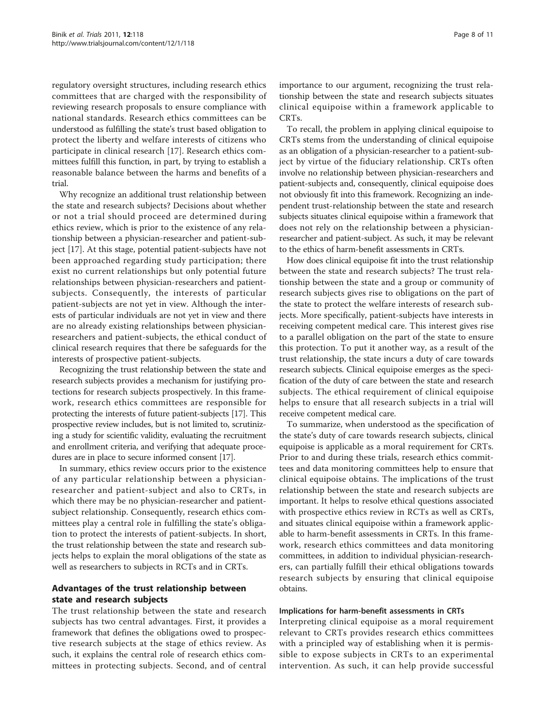regulatory oversight structures, including research ethics committees that are charged with the responsibility of reviewing research proposals to ensure compliance with national standards. Research ethics committees can be understood as fulfilling the state's trust based obligation to protect the liberty and welfare interests of citizens who participate in clinical research [\[17](#page-10-0)]. Research ethics committees fulfill this function, in part, by trying to establish a reasonable balance between the harms and benefits of a trial.

Why recognize an additional trust relationship between the state and research subjects? Decisions about whether or not a trial should proceed are determined during ethics review, which is prior to the existence of any relationship between a physician-researcher and patient-subject [[17\]](#page-10-0). At this stage, potential patient-subjects have not been approached regarding study participation; there exist no current relationships but only potential future relationships between physician-researchers and patientsubjects. Consequently, the interests of particular patient-subjects are not yet in view. Although the interests of particular individuals are not yet in view and there are no already existing relationships between physicianresearchers and patient-subjects, the ethical conduct of clinical research requires that there be safeguards for the interests of prospective patient-subjects.

Recognizing the trust relationship between the state and research subjects provides a mechanism for justifying protections for research subjects prospectively. In this framework, research ethics committees are responsible for protecting the interests of future patient-subjects [[17](#page-10-0)]. This prospective review includes, but is not limited to, scrutinizing a study for scientific validity, evaluating the recruitment and enrollment criteria, and verifying that adequate procedures are in place to secure informed consent [\[17\]](#page-10-0).

In summary, ethics review occurs prior to the existence of any particular relationship between a physicianresearcher and patient-subject and also to CRTs, in which there may be no physician-researcher and patientsubject relationship. Consequently, research ethics committees play a central role in fulfilling the state's obligation to protect the interests of patient-subjects. In short, the trust relationship between the state and research subjects helps to explain the moral obligations of the state as well as researchers to subjects in RCTs and in CRTs.

# Advantages of the trust relationship between state and research subjects

The trust relationship between the state and research subjects has two central advantages. First, it provides a framework that defines the obligations owed to prospective research subjects at the stage of ethics review. As such, it explains the central role of research ethics committees in protecting subjects. Second, and of central Page 8 of 11

importance to our argument, recognizing the trust relationship between the state and research subjects situates clinical equipoise within a framework applicable to CRTs.

To recall, the problem in applying clinical equipoise to CRTs stems from the understanding of clinical equipoise as an obligation of a physician-researcher to a patient-subject by virtue of the fiduciary relationship. CRTs often involve no relationship between physician-researchers and patient-subjects and, consequently, clinical equipoise does not obviously fit into this framework. Recognizing an independent trust-relationship between the state and research subjects situates clinical equipoise within a framework that does not rely on the relationship between a physicianresearcher and patient-subject. As such, it may be relevant to the ethics of harm-benefit assessments in CRTs.

How does clinical equipoise fit into the trust relationship between the state and research subjects? The trust relationship between the state and a group or community of research subjects gives rise to obligations on the part of the state to protect the welfare interests of research subjects. More specifically, patient-subjects have interests in receiving competent medical care. This interest gives rise to a parallel obligation on the part of the state to ensure this protection. To put it another way, as a result of the trust relationship, the state incurs a duty of care towards research subjects. Clinical equipoise emerges as the specification of the duty of care between the state and research subjects. The ethical requirement of clinical equipoise helps to ensure that all research subjects in a trial will receive competent medical care.

To summarize, when understood as the specification of the state's duty of care towards research subjects, clinical equipoise is applicable as a moral requirement for CRTs. Prior to and during these trials, research ethics committees and data monitoring committees help to ensure that clinical equipoise obtains. The implications of the trust relationship between the state and research subjects are important. It helps to resolve ethical questions associated with prospective ethics review in RCTs as well as CRTs, and situates clinical equipoise within a framework applicable to harm-benefit assessments in CRTs. In this framework, research ethics committees and data monitoring committees, in addition to individual physician-researchers, can partially fulfill their ethical obligations towards research subjects by ensuring that clinical equipoise obtains.

# Implications for harm-benefit assessments in CRTs

Interpreting clinical equipoise as a moral requirement relevant to CRTs provides research ethics committees with a principled way of establishing when it is permissible to expose subjects in CRTs to an experimental intervention. As such, it can help provide successful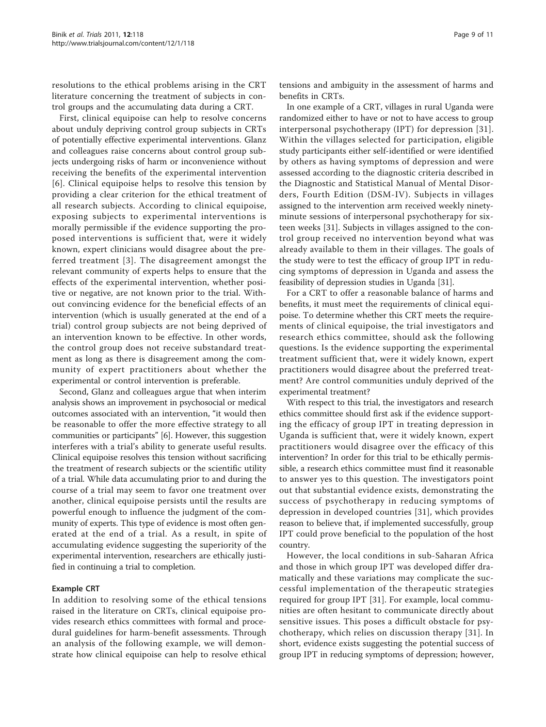resolutions to the ethical problems arising in the CRT literature concerning the treatment of subjects in control groups and the accumulating data during a CRT.

First, clinical equipoise can help to resolve concerns about unduly depriving control group subjects in CRTs of potentially effective experimental interventions. Glanz and colleagues raise concerns about control group subjects undergoing risks of harm or inconvenience without receiving the benefits of the experimental intervention [[6](#page-10-0)]. Clinical equipoise helps to resolve this tension by providing a clear criterion for the ethical treatment of all research subjects. According to clinical equipoise, exposing subjects to experimental interventions is morally permissible if the evidence supporting the proposed interventions is sufficient that, were it widely known, expert clinicians would disagree about the preferred treatment [\[3\]](#page-9-0). The disagreement amongst the relevant community of experts helps to ensure that the effects of the experimental intervention, whether positive or negative, are not known prior to the trial. Without convincing evidence for the beneficial effects of an intervention (which is usually generated at the end of a trial) control group subjects are not being deprived of an intervention known to be effective. In other words, the control group does not receive substandard treatment as long as there is disagreement among the community of expert practitioners about whether the experimental or control intervention is preferable.

Second, Glanz and colleagues argue that when interim analysis shows an improvement in psychosocial or medical outcomes associated with an intervention, "it would then be reasonable to offer the more effective strategy to all communities or participants" [\[6](#page-10-0)]. However, this suggestion interferes with a trial's ability to generate useful results. Clinical equipoise resolves this tension without sacrificing the treatment of research subjects or the scientific utility of a trial. While data accumulating prior to and during the course of a trial may seem to favor one treatment over another, clinical equipoise persists until the results are powerful enough to influence the judgment of the community of experts. This type of evidence is most often generated at the end of a trial. As a result, in spite of accumulating evidence suggesting the superiority of the experimental intervention, researchers are ethically justified in continuing a trial to completion.

# Example CRT

In addition to resolving some of the ethical tensions raised in the literature on CRTs, clinical equipoise provides research ethics committees with formal and procedural guidelines for harm-benefit assessments. Through an analysis of the following example, we will demonstrate how clinical equipoise can help to resolve ethical

tensions and ambiguity in the assessment of harms and benefits in CRTs.

In one example of a CRT, villages in rural Uganda were randomized either to have or not to have access to group interpersonal psychotherapy (IPT) for depression [[31](#page-10-0)]. Within the villages selected for participation, eligible study participants either self-identified or were identified by others as having symptoms of depression and were assessed according to the diagnostic criteria described in the Diagnostic and Statistical Manual of Mental Disorders, Fourth Edition (DSM-IV). Subjects in villages assigned to the intervention arm received weekly ninetyminute sessions of interpersonal psychotherapy for sixteen weeks [[31\]](#page-10-0). Subjects in villages assigned to the control group received no intervention beyond what was already available to them in their villages. The goals of the study were to test the efficacy of group IPT in reducing symptoms of depression in Uganda and assess the feasibility of depression studies in Uganda [[31\]](#page-10-0).

For a CRT to offer a reasonable balance of harms and benefits, it must meet the requirements of clinical equipoise. To determine whether this CRT meets the requirements of clinical equipoise, the trial investigators and research ethics committee, should ask the following questions. Is the evidence supporting the experimental treatment sufficient that, were it widely known, expert practitioners would disagree about the preferred treatment? Are control communities unduly deprived of the experimental treatment?

With respect to this trial, the investigators and research ethics committee should first ask if the evidence supporting the efficacy of group IPT in treating depression in Uganda is sufficient that, were it widely known, expert practitioners would disagree over the efficacy of this intervention? In order for this trial to be ethically permissible, a research ethics committee must find it reasonable to answer yes to this question. The investigators point out that substantial evidence exists, demonstrating the success of psychotherapy in reducing symptoms of depression in developed countries [[31\]](#page-10-0), which provides reason to believe that, if implemented successfully, group IPT could prove beneficial to the population of the host country.

However, the local conditions in sub-Saharan Africa and those in which group IPT was developed differ dramatically and these variations may complicate the successful implementation of the therapeutic strategies required for group IPT [\[31](#page-10-0)]. For example, local communities are often hesitant to communicate directly about sensitive issues. This poses a difficult obstacle for psychotherapy, which relies on discussion therapy [[31\]](#page-10-0). In short, evidence exists suggesting the potential success of group IPT in reducing symptoms of depression; however,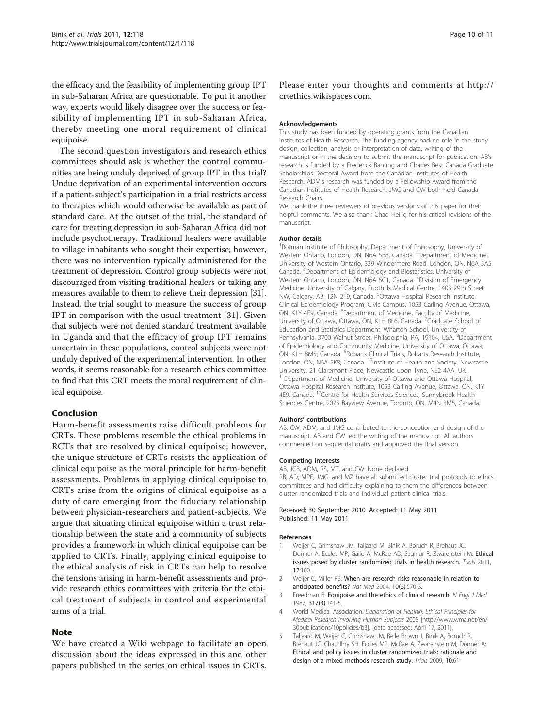<span id="page-9-0"></span>the efficacy and the feasibility of implementing group IPT in sub-Saharan Africa are questionable. To put it another way, experts would likely disagree over the success or feasibility of implementing IPT in sub-Saharan Africa, thereby meeting one moral requirement of clinical equipoise.

The second question investigators and research ethics committees should ask is whether the control communities are being unduly deprived of group IPT in this trial? Undue deprivation of an experimental intervention occurs if a patient-subject's participation in a trial restricts access to therapies which would otherwise be available as part of standard care. At the outset of the trial, the standard of care for treating depression in sub-Saharan Africa did not include psychotherapy. Traditional healers were available to village inhabitants who sought their expertise; however, there was no intervention typically administered for the treatment of depression. Control group subjects were not discouraged from visiting traditional healers or taking any measures available to them to relieve their depression [[31](#page-10-0)]. Instead, the trial sought to measure the success of group IPT in comparison with the usual treatment [[31\]](#page-10-0). Given that subjects were not denied standard treatment available in Uganda and that the efficacy of group IPT remains uncertain in these populations, control subjects were not unduly deprived of the experimental intervention. In other words, it seems reasonable for a research ethics committee to find that this CRT meets the moral requirement of clinical equipoise.

# Conclusion

Harm-benefit assessments raise difficult problems for CRTs. These problems resemble the ethical problems in RCTs that are resolved by clinical equipoise; however, the unique structure of CRTs resists the application of clinical equipoise as the moral principle for harm-benefit assessments. Problems in applying clinical equipoise to CRTs arise from the origins of clinical equipoise as a duty of care emerging from the fiduciary relationship between physician-researchers and patient-subjects. We argue that situating clinical equipoise within a trust relationship between the state and a community of subjects provides a framework in which clinical equipoise can be applied to CRTs. Finally, applying clinical equipoise to the ethical analysis of risk in CRTs can help to resolve the tensions arising in harm-benefit assessments and provide research ethics committees with criteria for the ethical treatment of subjects in control and experimental arms of a trial.

# **Note**

We have created a Wiki webpage to facilitate an open discussion about the ideas expressed in this and other papers published in the series on ethical issues in CRTs. Page 10 of 11

Please enter your thoughts and comments at [http://](http://crtethics.wikispaces.com) [crtethics.wikispaces.com.](http://crtethics.wikispaces.com)

### Acknowledgements

This study has been funded by operating grants from the Canadian Institutes of Health Research. The funding agency had no role in the study design, collection, analysis or interpretation of data, writing of the manuscript or in the decision to submit the manuscript for publication. AB's research is funded by a Frederick Banting and Charles Best Canada Graduate Scholarships Doctoral Award from the Canadian Institutes of Health Research. ADM's research was funded by a Fellowship Award from the Canadian Institutes of Health Research. JMG and CW both hold Canada Research Chairs.

We thank the three reviewers of previous versions of this paper for their helpful comments. We also thank Chad Heilig for his critical revisions of the manuscript.

#### Author details

<sup>1</sup> Rotman Institute of Philosophy, Department of Philosophy, University of Western Ontario, London, ON, N6A 5B8, Canada. <sup>2</sup>Department of Medicine, University of Western Ontario, 339 Windermere Road, London, ON, N6A 5A5, Canada. <sup>3</sup>Department of Epidemiology and Biostatistics, University of Western Ontario, London, ON, N6A 5C1, Canada. <sup>4</sup>Division of Emergency Medicine, University of Calgary, Foothills Medical Centre, 1403 29th Street NW, Calgary, AB, T2N 2T9, Canada. <sup>5</sup>Ottawa Hospital Research Institute Clinical Epidemiology Program, Civic Campus, 1053 Carling Avenue, Ottawa, ON, K1Y 4E9, Canada. <sup>6</sup>Department of Medicine, Faculty of Medicine University of Ottawa, Ottawa, ON, K1H 8L6, Canada. <sup>7</sup>Graduate School of Education and Statistics Department, Wharton School, University of Pennsylvania, 3700 Walnut Street, Philadelphia, PA, 19104, USA. <sup>8</sup>Department of Epidemiology and Community Medicine, University of Ottawa, Ottawa, ON, K1H 8M5, Canada. <sup>9</sup>Robarts Clinical Trials, Robarts Research Institute, London, ON, N6A 5K8, Canada. <sup>10</sup>Institute of Health and Society, Newcastle University, 21 Claremont Place, Newcastle upon Tyne, NE2 4AA, UK. <sup>11</sup>Department of Medicine, University of Ottawa and Ottawa Hospital, Ottawa Hospital Research Institute, 1053 Carling Avenue, Ottawa, ON, K1Y 4E9, Canada. <sup>12</sup>Centre for Health Services Sciences, Sunnybrook Health Sciences Centre, 2075 Bayview Avenue, Toronto, ON, M4N 3M5, Canada.

#### Authors' contributions

AB, CW, ADM, and JMG contributed to the conception and design of the manuscript. AB and CW led the writing of the manuscript. All authors commented on sequential drafts and approved the final version.

#### Competing interests

AB, JCB, ADM, RS, MT, and CW: None declared RB, AD, MPE, JMG, and MZ have all submitted cluster trial protocols to ethics committees and had difficulty explaining to them the differences between cluster randomized trials and individual patient clinical trials.

#### Received: 30 September 2010 Accepted: 11 May 2011 Published: 11 May 2011

#### References

- 1. Weijer C, Grimshaw JM, Taljaard M, Binik A, Boruch R, Brehaut JC, Donner A, Eccles MP, Gallo A, McRae AD, Saginur R, Zwarenstein M: [Ethical](http://www.ncbi.nlm.nih.gov/pubmed/21507237?dopt=Abstract) [issues posed by cluster randomized trials in health research.](http://www.ncbi.nlm.nih.gov/pubmed/21507237?dopt=Abstract) Trials 2011, 12:100.
- 2. Weijer C, Miller PB: [When are research risks reasonable in relation to](http://www.ncbi.nlm.nih.gov/pubmed/15170195?dopt=Abstract) [anticipated benefits?](http://www.ncbi.nlm.nih.gov/pubmed/15170195?dopt=Abstract) Nat Med 2004, 10(6):570-3.
- 3. Freedman B: [Equipoise and the ethics of clinical research.](http://www.ncbi.nlm.nih.gov/pubmed/3600702?dopt=Abstract) N Engl J Med 1987, 317(3):141-5.
- 4. World Medical Association: Declaration of Helsinki: Ethical Principles for Medical Research involving Human Subjects 2008 [\[http://www.wma.net/en/](http://www.wma.net/en/30publications/10policies/b3) [30publications/10policies/b3\]](http://www.wma.net/en/30publications/10policies/b3), [date accessed: April 17, 2011].
- 5. Taljaard M, Weijer C, Grimshaw JM, Belle Brown J, Binik A, Boruch R, Brehaut JC, Chaudhry SH, Eccles MP, McRae A, Zwarenstein M, Donner A: [Ethical and policy issues in cluster randomized trials: rationale and](http://www.ncbi.nlm.nih.gov/pubmed/19638233?dopt=Abstract) [design of a mixed methods research study.](http://www.ncbi.nlm.nih.gov/pubmed/19638233?dopt=Abstract) Trials 2009, 10:61.